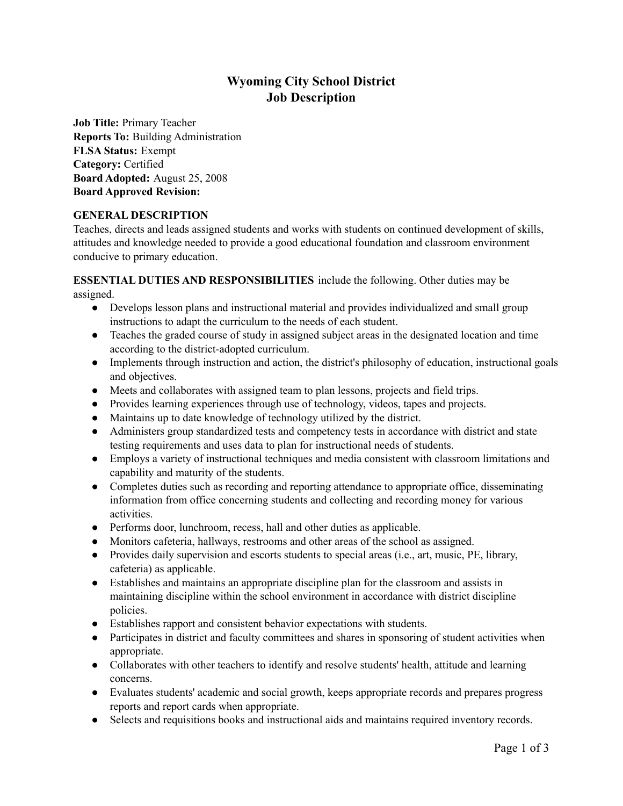# **Wyoming City School District Job Description**

**Job Title:** Primary Teacher **Reports To:** Building Administration **FLSA Status:** Exempt **Category:** Certified **Board Adopted:** August 25, 2008 **Board Approved Revision:**

# **GENERAL DESCRIPTION**

Teaches, directs and leads assigned students and works with students on continued development of skills, attitudes and knowledge needed to provide a good educational foundation and classroom environment conducive to primary education.

**ESSENTIAL DUTIES AND RESPONSIBILITIES** include the following. Other duties may be assigned.

- Develops lesson plans and instructional material and provides individualized and small group instructions to adapt the curriculum to the needs of each student.
- Teaches the graded course of study in assigned subject areas in the designated location and time according to the district-adopted curriculum.
- Implements through instruction and action, the district's philosophy of education, instructional goals and objectives.
- Meets and collaborates with assigned team to plan lessons, projects and field trips.
- Provides learning experiences through use of technology, videos, tapes and projects.
- Maintains up to date knowledge of technology utilized by the district.
- Administers group standardized tests and competency tests in accordance with district and state testing requirements and uses data to plan for instructional needs of students.
- Employs a variety of instructional techniques and media consistent with classroom limitations and capability and maturity of the students.
- Completes duties such as recording and reporting attendance to appropriate office, disseminating information from office concerning students and collecting and recording money for various activities.
- Performs door, lunchroom, recess, hall and other duties as applicable.
- Monitors cafeteria, hallways, restrooms and other areas of the school as assigned.
- Provides daily supervision and escorts students to special areas (i.e., art, music, PE, library, cafeteria) as applicable.
- Establishes and maintains an appropriate discipline plan for the classroom and assists in maintaining discipline within the school environment in accordance with district discipline policies.
- Establishes rapport and consistent behavior expectations with students.
- Participates in district and faculty committees and shares in sponsoring of student activities when appropriate.
- Collaborates with other teachers to identify and resolve students' health, attitude and learning concerns.
- Evaluates students' academic and social growth, keeps appropriate records and prepares progress reports and report cards when appropriate.
- Selects and requisitions books and instructional aids and maintains required inventory records.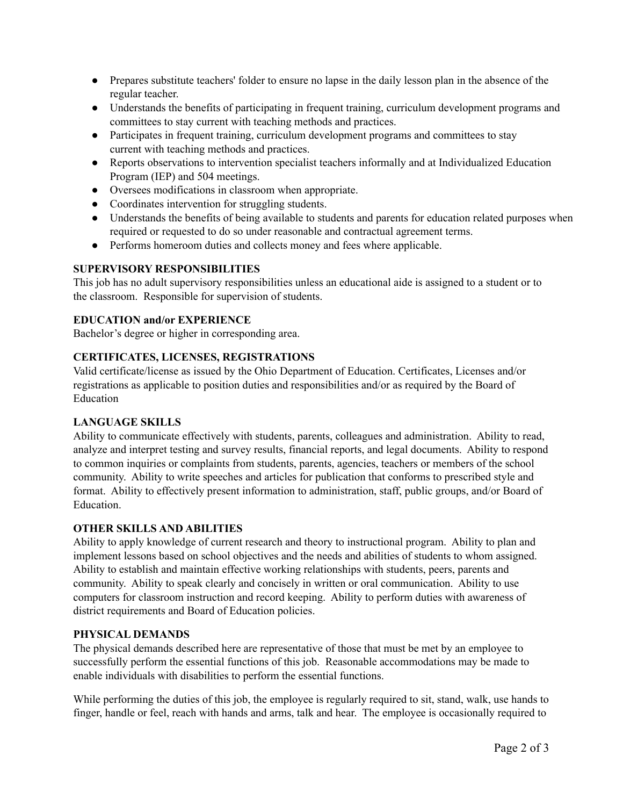- Prepares substitute teachers' folder to ensure no lapse in the daily lesson plan in the absence of the regular teacher.
- Understands the benefits of participating in frequent training, curriculum development programs and committees to stay current with teaching methods and practices.
- Participates in frequent training, curriculum development programs and committees to stay current with teaching methods and practices.
- Reports observations to intervention specialist teachers informally and at Individualized Education Program (IEP) and 504 meetings.
- Oversees modifications in classroom when appropriate.
- Coordinates intervention for struggling students.
- Understands the benefits of being available to students and parents for education related purposes when required or requested to do so under reasonable and contractual agreement terms.
- Performs homeroom duties and collects money and fees where applicable.

# **SUPERVISORY RESPONSIBILITIES**

This job has no adult supervisory responsibilities unless an educational aide is assigned to a student or to the classroom. Responsible for supervision of students.

# **EDUCATION and/or EXPERIENCE**

Bachelor's degree or higher in corresponding area.

## **CERTIFICATES, LICENSES, REGISTRATIONS**

Valid certificate/license as issued by the Ohio Department of Education. Certificates, Licenses and/or registrations as applicable to position duties and responsibilities and/or as required by the Board of Education

### **LANGUAGE SKILLS**

Ability to communicate effectively with students, parents, colleagues and administration. Ability to read, analyze and interpret testing and survey results, financial reports, and legal documents. Ability to respond to common inquiries or complaints from students, parents, agencies, teachers or members of the school community. Ability to write speeches and articles for publication that conforms to prescribed style and format. Ability to effectively present information to administration, staff, public groups, and/or Board of Education.

### **OTHER SKILLS AND ABILITIES**

Ability to apply knowledge of current research and theory to instructional program. Ability to plan and implement lessons based on school objectives and the needs and abilities of students to whom assigned. Ability to establish and maintain effective working relationships with students, peers, parents and community. Ability to speak clearly and concisely in written or oral communication. Ability to use computers for classroom instruction and record keeping. Ability to perform duties with awareness of district requirements and Board of Education policies.

### **PHYSICAL DEMANDS**

The physical demands described here are representative of those that must be met by an employee to successfully perform the essential functions of this job. Reasonable accommodations may be made to enable individuals with disabilities to perform the essential functions.

While performing the duties of this job, the employee is regularly required to sit, stand, walk, use hands to finger, handle or feel, reach with hands and arms, talk and hear. The employee is occasionally required to